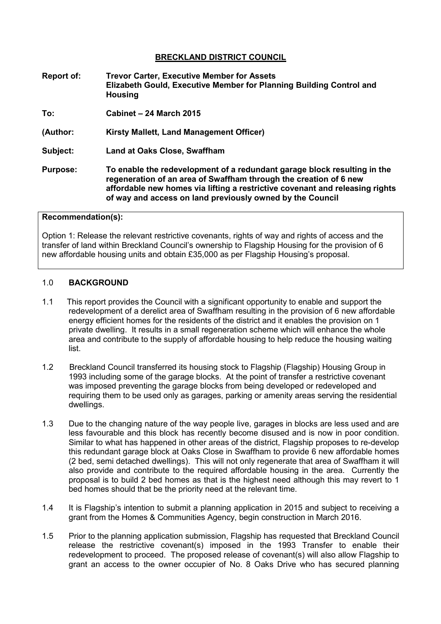#### **BRECKLAND DISTRICT COUNCIL**

- **Report of: Trevor Carter, Executive Member for Assets Elizabeth Gould, Executive Member for Planning Building Control and Housing**
- **To: Cabinet 24 March 2015**
- **(Author: Kirsty Mallett, Land Management Officer)**
- **Subject: Land at Oaks Close, Swaffham**
- **Purpose: To enable the redevelopment of a redundant garage block resulting in the regeneration of an area of Swaffham through the creation of 6 new affordable new homes via lifting a restrictive covenant and releasing rights of way and access on land previously owned by the Council**

#### **Recommendation(s):**

Option 1: Release the relevant restrictive covenants, rights of way and rights of access and the transfer of land within Breckland Council's ownership to Flagship Housing for the provision of 6 new affordable housing units and obtain £35,000 as per Flagship Housing's proposal.

#### 1.0 **BACKGROUND**

- 1.1 This report provides the Council with a significant opportunity to enable and support the redevelopment of a derelict area of Swaffham resulting in the provision of 6 new affordable energy efficient homes for the residents of the district and it enables the provision on 1 private dwelling. It results in a small regeneration scheme which will enhance the whole area and contribute to the supply of affordable housing to help reduce the housing waiting list.
- 1.2 Breckland Council transferred its housing stock to Flagship (Flagship) Housing Group in 1993 including some of the garage blocks. At the point of transfer a restrictive covenant was imposed preventing the garage blocks from being developed or redeveloped and requiring them to be used only as garages, parking or amenity areas serving the residential dwellings.
- 1.3 Due to the changing nature of the way people live, garages in blocks are less used and are less favourable and this block has recently become disused and is now in poor condition. Similar to what has happened in other areas of the district, Flagship proposes to re-develop this redundant garage block at Oaks Close in Swaffham to provide 6 new affordable homes (2 bed, semi detached dwellings). This will not only regenerate that area of Swaffham it will also provide and contribute to the required affordable housing in the area. Currently the proposal is to build 2 bed homes as that is the highest need although this may revert to 1 bed homes should that be the priority need at the relevant time.
- 1.4 It is Flagship's intention to submit a planning application in 2015 and subject to receiving a grant from the Homes & Communities Agency, begin construction in March 2016.
- 1.5 Prior to the planning application submission, Flagship has requested that Breckland Council release the restrictive covenant(s) imposed in the 1993 Transfer to enable their redevelopment to proceed. The proposed release of covenant(s) will also allow Flagship to grant an access to the owner occupier of No. 8 Oaks Drive who has secured planning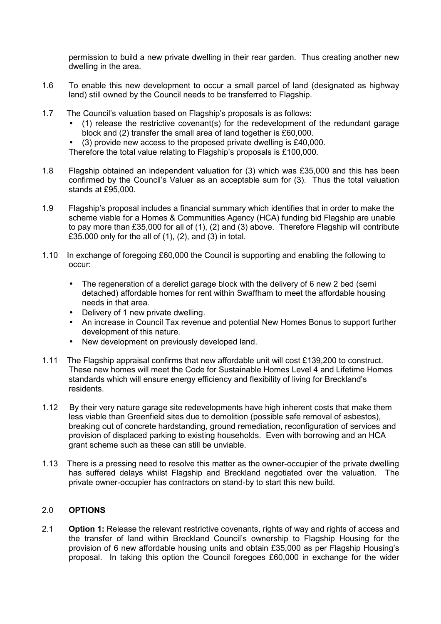permission to build a new private dwelling in their rear garden. Thus creating another new dwelling in the area.

- 1.6 To enable this new development to occur a small parcel of land (designated as highway land) still owned by the Council needs to be transferred to Flagship.
- 1.7 The Council's valuation based on Flagship's proposals is as follows:
	- (1) release the restrictive covenant(s) for the redevelopment of the redundant garage block and (2) transfer the small area of land together is £60,000.
	- (3) provide new access to the proposed private dwelling is £40,000.
	- Therefore the total value relating to Flagship's proposals is £100,000.
- 1.8 Flagship obtained an independent valuation for (3) which was £35,000 and this has been confirmed by the Council's Valuer as an acceptable sum for (3). Thus the total valuation stands at £95,000.
- 1.9 Flagship's proposal includes a financial summary which identifies that in order to make the scheme viable for a Homes & Communities Agency (HCA) funding bid Flagship are unable to pay more than £35,000 for all of (1), (2) and (3) above. Therefore Flagship will contribute £35.000 only for the all of (1), (2), and (3) in total.
- 1.10 In exchange of foregoing £60,000 the Council is supporting and enabling the following to occur:
	- The regeneration of a derelict garage block with the delivery of 6 new 2 bed (semi detached) affordable homes for rent within Swaffham to meet the affordable housing needs in that area.
	- Delivery of 1 new private dwelling.
	- An increase in Council Tax revenue and potential New Homes Bonus to support further development of this nature.
	- New development on previously developed land.
- 1.11 The Flagship appraisal confirms that new affordable unit will cost £139,200 to construct. These new homes will meet the Code for Sustainable Homes Level 4 and Lifetime Homes standards which will ensure energy efficiency and flexibility of living for Breckland's residents.
- 1.12 By their very nature garage site redevelopments have high inherent costs that make them less viable than Greenfield sites due to demolition (possible safe removal of asbestos), breaking out of concrete hardstanding, ground remediation, reconfiguration of services and provision of displaced parking to existing households. Even with borrowing and an HCA grant scheme such as these can still be unviable.
- 1.13 There is a pressing need to resolve this matter as the owner-occupier of the private dwelling has suffered delays whilst Flagship and Breckland negotiated over the valuation. The private owner-occupier has contractors on stand-by to start this new build.

## 2.0 **OPTIONS**

2.1 **Option 1:** Release the relevant restrictive covenants, rights of way and rights of access and the transfer of land within Breckland Council's ownership to Flagship Housing for the provision of 6 new affordable housing units and obtain £35,000 as per Flagship Housing's proposal. In taking this option the Council foregoes £60,000 in exchange for the wider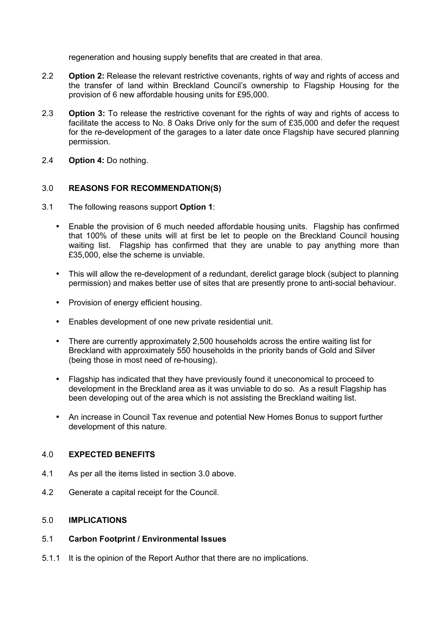regeneration and housing supply benefits that are created in that area.

- 2.2 **Option 2:** Release the relevant restrictive covenants, rights of way and rights of access and the transfer of land within Breckland Council's ownership to Flagship Housing for the provision of 6 new affordable housing units for £95,000.
- 2.3 **Option 3:** To release the restrictive covenant for the rights of way and rights of access to facilitate the access to No. 8 Oaks Drive only for the sum of £35,000 and defer the request for the re-development of the garages to a later date once Flagship have secured planning permission.
- 2.4 **Option 4:** Do nothing.

#### 3.0 **REASONS FOR RECOMMENDATION(S)**

- 3.1 The following reasons support **Option 1**:
	- Enable the provision of 6 much needed affordable housing units. Flagship has confirmed that 100% of these units will at first be let to people on the Breckland Council housing waiting list. Flagship has confirmed that they are unable to pay anything more than £35,000, else the scheme is unviable.
	- This will allow the re-development of a redundant, derelict garage block (subject to planning permission) and makes better use of sites that are presently prone to anti-social behaviour.
	- Provision of energy efficient housing.
	- Enables development of one new private residential unit.
	- There are currently approximately 2,500 households across the entire waiting list for Breckland with approximately 550 households in the priority bands of Gold and Silver (being those in most need of re-housing).
	- Flagship has indicated that they have previously found it uneconomical to proceed to development in the Breckland area as it was unviable to do so. As a result Flagship has been developing out of the area which is not assisting the Breckland waiting list.
	- An increase in Council Tax revenue and potential New Homes Bonus to support further development of this nature.

#### 4.0 **EXPECTED BENEFITS**

- 4.1 As per all the items listed in section 3.0 above.
- 4.2 Generate a capital receipt for the Council.

#### 5.0 **IMPLICATIONS**

#### 5.1 **Carbon Footprint / Environmental Issues**

5.1.1 It is the opinion of the Report Author that there are no implications.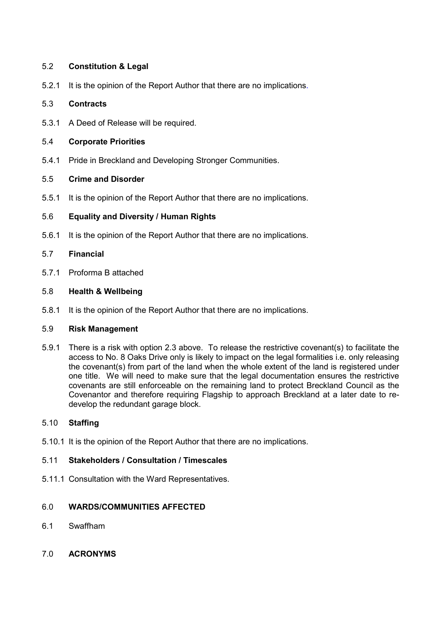## 5.2 **Constitution & Legal**

5.2.1 It is the opinion of the Report Author that there are no implications.

#### 5.3 **Contracts**

5.3.1 A Deed of Release will be required.

#### 5.4 **Corporate Priorities**

5.4.1 Pride in Breckland and Developing Stronger Communities.

#### 5.5 **Crime and Disorder**

5.5.1 It is the opinion of the Report Author that there are no implications.

#### 5.6 **Equality and Diversity / Human Rights**

5.6.1 It is the opinion of the Report Author that there are no implications.

#### 5.7 **Financial**

5.7.1 Proforma B attached

#### 5.8 **Health & Wellbeing**

5.8.1 It is the opinion of the Report Author that there are no implications.

#### 5.9 **Risk Management**

5.9.1 There is a risk with option 2.3 above. To release the restrictive covenant(s) to facilitate the access to No. 8 Oaks Drive only is likely to impact on the legal formalities i.e. only releasing the covenant(s) from part of the land when the whole extent of the land is registered under one title. We will need to make sure that the legal documentation ensures the restrictive covenants are still enforceable on the remaining land to protect Breckland Council as the Covenantor and therefore requiring Flagship to approach Breckland at a later date to redevelop the redundant garage block.

## 5.10 **Staffing**

5.10.1 It is the opinion of the Report Author that there are no implications.

#### 5.11 **Stakeholders / Consultation / Timescales**

5.11.1 Consultation with the Ward Representatives.

#### 6.0 **WARDS/COMMUNITIES AFFECTED**

- 6.1 Swaffham
- 7.0 **ACRONYMS**